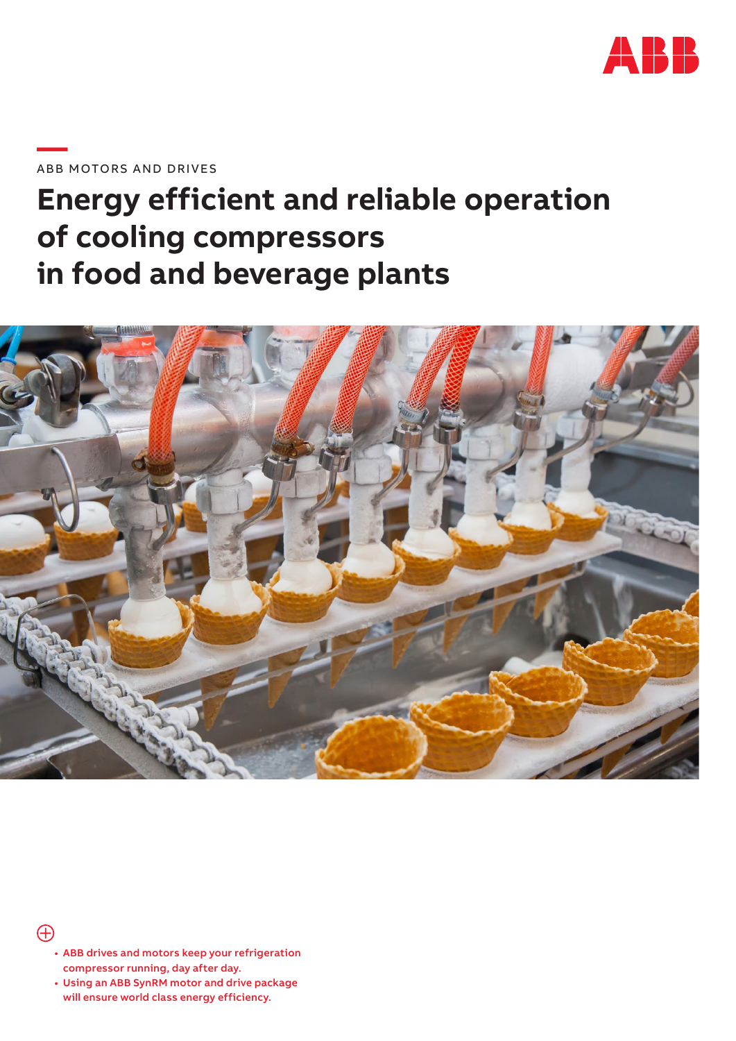

### **—**ABB MOTORS AND DRIVES

# **Energy efficient and reliable operation of cooling compressors in food and beverage plants**



### $\bigoplus$

- ABB drives and motors keep your refrigeration compressor running, day after day.
- Using an ABB SynRM motor and drive package will ensure world class energy efficiency.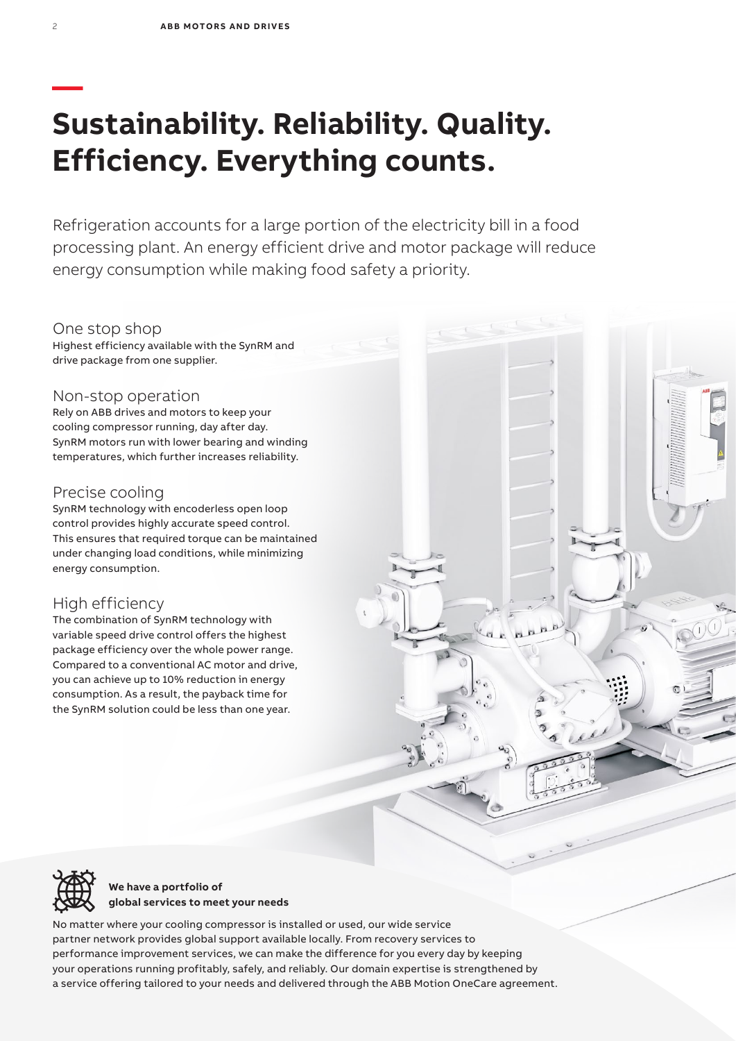## **— Sustainability. Reliability. Quality. Efficiency. Everything counts.**

Refrigeration accounts for a large portion of the electricity bill in a food processing plant. An energy efficient drive and motor package will reduce energy consumption while making food safety a priority.

#### One stop shop

Highest efficiency available with the SynRM and drive package from one supplier.

#### Non-stop operation

Rely on ABB drives and motors to keep your cooling compressor running, day after day. SynRM motors run with lower bearing and winding temperatures, which further increases reliability.

#### Precise cooling

SynRM technology with encoderless open loop control provides highly accurate speed control. This ensures that required torque can be maintained under changing load conditions, while minimizing energy consumption.

#### High efficiency

The combination of SynRM technology with variable speed drive control offers the highest package efficiency over the whole power range. Compared to a conventional AC motor and drive, you can achieve up to 10% reduction in energy consumption. As a result, the payback time for the SynRM solution could be less than one year.



**We have a portfolio of global services to meet your needs**

No matter where your cooling compressor is installed or used, our wide service partner network provides global support available locally. From recovery services to performance improvement services, we can make the difference for you every day by keeping your operations running profitably, safely, and reliably. Our domain expertise is strengthened by a service offering tailored to your needs and delivered through the ABB Motion OneCare agreement.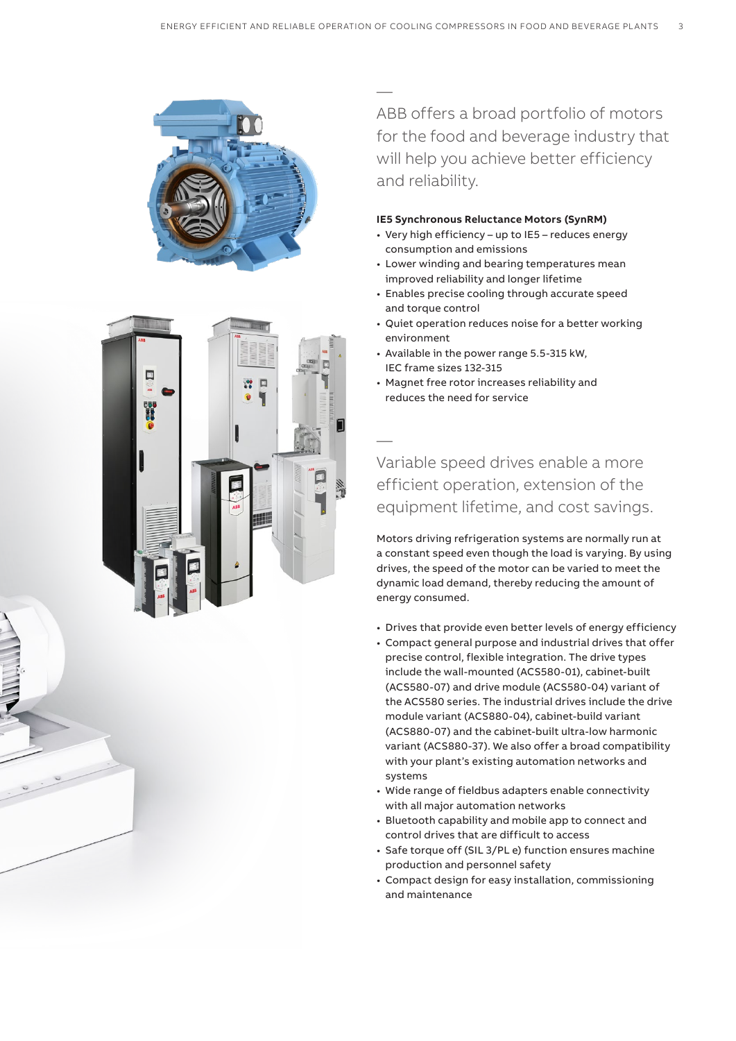



— ABB offers a broad portfolio of motors for the food and beverage industry that will help you achieve better efficiency and reliability.

#### **IE5 Synchronous Reluctance Motors (SynRM)**

- Very high efficiency up to IE5 reduces energy consumption and emissions
- Lower winding and bearing temperatures mean improved reliability and longer lifetime
- Enables precise cooling through accurate speed and torque control
- Quiet operation reduces noise for a better working environment
- Available in the power range 5.5-315 kW, IEC frame sizes 132-315
- Magnet free rotor increases reliability and reduces the need for service

Variable speed drives enable a more efficient operation, extension of the equipment lifetime, and cost savings.

Motors driving refrigeration systems are normally run at a constant speed even though the load is varying. By using drives, the speed of the motor can be varied to meet the dynamic load demand, thereby reducing the amount of energy consumed.

- Drives that provide even better levels of energy efficiency
- Compact general purpose and industrial drives that offer precise control, flexible integration. The drive types include the wall-mounted (ACS580-01), cabinet-built (ACS580-07) and drive module (ACS580-04) variant of the ACS580 series. The industrial drives include the drive module variant (ACS880-04), cabinet-build variant (ACS880-07) and the cabinet-built ultra-low harmonic variant (ACS880-37). We also offer a broad compatibility with your plant's existing automation networks and systems
- Wide range of fieldbus adapters enable connectivity with all major automation networks
- Bluetooth capability and mobile app to connect and control drives that are difficult to access
- Safe torque off (SIL 3/PL e) function ensures machine production and personnel safety
- Compact design for easy installation, commissioning and maintenance